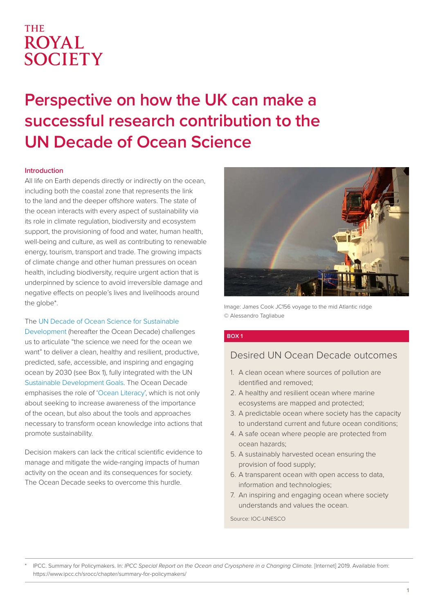# **THE ROYAL** SOCIETY

# **Perspective on how the UK can make a successful research contribution to the UN Decade of Ocean Science**

#### **Introduction**

All life on Earth depends directly or indirectly on the ocean, including both the coastal zone that represents the link to the land and the deeper offshore waters. The state of the ocean interacts with every aspect of sustainability via its role in climate regulation, biodiversity and ecosystem support, the provisioning of food and water, human health, well-being and culture, as well as contributing to renewable energy, tourism, transport and trade. The growing impacts of climate change and other human pressures on ocean health, including biodiversity, require urgent action that is underpinned by science to avoid irreversible damage and negative effects on people's lives and livelihoods around the globe\*.

#### The [UN Decade of Ocean Science for Sustainable](https://www.oceandecade.org/http://)

[Development](https://www.oceandecade.org/http://) (hereafter the Ocean Decade) challenges us to articulate "the science we need for the ocean we want" to deliver a clean, healthy and resilient, productive, predicted, safe, accessible, and inspiring and engaging ocean by 2030 (see Box 1), fully integrated with the UN [Sustainable Development Goals](https://sdgs.un.org/goals). The Ocean Decade emphasises the role of ['Ocean Literacy](https://oceandecade.org/resource/76/OCEAN-LITERACY-DRAFT-STRATEGIC-PLAN----Ocean-Literacy-for-the-UN-Decade-of-Ocean-Science-for-Sustainable-Development)', which is not only about seeking to increase awareness of the importance of the ocean, but also about the tools and approaches necessary to transform ocean knowledge into actions that promote sustainability.

Decision makers can lack the critical scientific evidence to manage and mitigate the wide-ranging impacts of human activity on the ocean and its consequences for society. The Ocean Decade seeks to overcome this hurdle.



Image: James Cook JC156 voyage to the mid Atlantic ridge © Alessandro Tagliabue

#### **BOX 1**

# Desired UN Ocean Decade outcomes

- 1. A clean ocean where sources of pollution are identified and removed;
- 2. A healthy and resilient ocean where marine ecosystems are mapped and protected;
- 3. A predictable ocean where society has the capacity to understand current and future ocean conditions;
- 4. A safe ocean where people are protected from ocean hazards;
- 5. A sustainably harvested ocean ensuring the provision of food supply;
- 6. A transparent ocean with open access to data, information and technologies;
- 7. An inspiring and engaging ocean where society understands and values the ocean.

Source: IOC-UNESCO

\* IPCC. Summary for Policymakers. In: *IPCC Special Report on the Ocean and Cryosphere in a Changing Climate.* [Internet] 2019. Available from: https://www.ipcc.ch/srocc/chapter/summary-for-policymakers/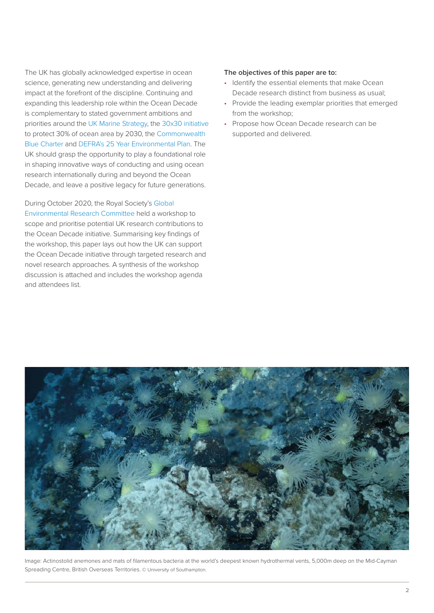The UK has globally acknowledged expertise in ocean science, generating new understanding and delivering impact at the forefront of the discipline. Continuing and expanding this leadership role within the Ocean Decade is complementary to stated government ambitions and priorities around the [UK Marine Strategy,](https://www.gov.uk/government/publications/marine-strategy-part-one-uk-initial-assessment-and-good-environmental-status) the [30x30 initiative](https://www.oceanunite.org/30-x-30/) to protect 30% of ocean area by 2030, the [Commonwealth](https://bluecharter.thecommonwealth.org/)  [Blue Charter](https://bluecharter.thecommonwealth.org/) and [DEFRA's 25 Year Environmental Plan](https://assets.publishing.service.gov.uk/government/uploads/system/uploads/attachment_data/file/693158/25-year-environment-plan.pdf). The UK should grasp the opportunity to play a foundational role in shaping innovative ways of conducting and using ocean research internationally during and beyond the Ocean Decade, and leave a positive legacy for future generations.

During October 2020, the Royal Society's [Global](https://royalsociety.org/topics-policy/energy-environment-climate/global-environmental-research-committee/)  [Environmental Research Committee](https://royalsociety.org/topics-policy/energy-environment-climate/global-environmental-research-committee/) held a workshop to scope and prioritise potential UK research contributions to the Ocean Decade initiative. Summarising key findings of the workshop, this paper lays out how the UK can support the Ocean Decade initiative through targeted research and novel research approaches. A synthesis of the workshop discussion is attached and includes the workshop agenda and attendees list.

#### **The objectives of this paper are to:**

- Identify the essential elements that make Ocean Decade research distinct from business as usual;
- Provide the leading exemplar priorities that emerged from the workshop;
- Propose how Ocean Decade research can be supported and delivered.



Image: Actinostolid anemones and mats of filamentous bacteria at the world's deepest known hydrothermal vents, 5,000m deep on the Mid-Cayman Spreading Centre, British Overseas Territories. © University of Southampton.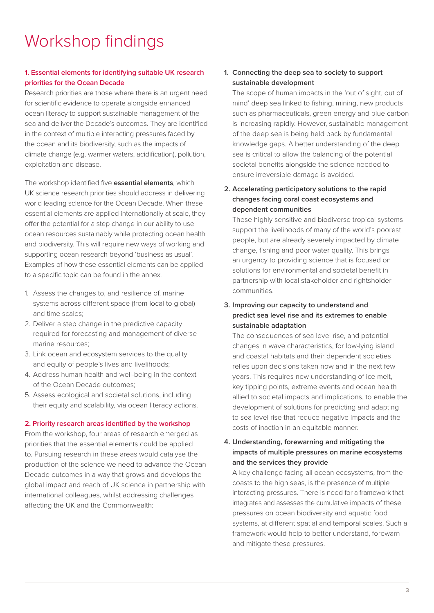# Workshop findings

### **1. Essential elements for identifying suitable UK research priorities for the Ocean Decade**

Research priorities are those where there is an urgent need for scientific evidence to operate alongside enhanced ocean literacy to support sustainable management of the sea and deliver the Decade's outcomes. They are identified in the context of multiple interacting pressures faced by the ocean and its biodiversity, such as the impacts of climate change (e.g. warmer waters, acidification), pollution, exploitation and disease.

The workshop identified five **essential elements**, which UK science research priorities should address in delivering world leading science for the Ocean Decade. When these essential elements are applied internationally at scale, they offer the potential for a step change in our ability to use ocean resources sustainably while protecting ocean health and biodiversity. This will require new ways of working and supporting ocean research beyond 'business as usual'. Examples of how these essential elements can be applied to a specific topic can be found in the annex.

- 1. Assess the changes to, and resilience of, marine systems across different space (from local to global) and time scales;
- 2. Deliver a step change in the predictive capacity required for forecasting and management of diverse marine resources;
- 3. Link ocean and ecosystem services to the quality and equity of people's lives and livelihoods;
- 4. Address human health and well-being in the context of the Ocean Decade outcomes;
- 5. Assess ecological and societal solutions, including their equity and scalability, via ocean literacy actions.

#### **2. Priority research areas identified by the workshop**

From the workshop, four areas of research emerged as priorities that the essential elements could be applied to. Pursuing research in these areas would catalyse the production of the science we need to advance the Ocean Decade outcomes in a way that grows and develops the global impact and reach of UK science in partnership with international colleagues, whilst addressing challenges affecting the UK and the Commonwealth:

### **1. Connecting the deep sea to society to support sustainable development**

The scope of human impacts in the 'out of sight, out of mind' deep sea linked to fishing, mining, new products such as pharmaceuticals, green energy and blue carbon is increasing rapidly. However, sustainable management of the deep sea is being held back by fundamental knowledge gaps. A better understanding of the deep sea is critical to allow the balancing of the potential societal benefits alongside the science needed to ensure irreversible damage is avoided.

### **2. Accelerating participatory solutions to the rapid changes facing coral coast ecosystems and dependent communities**

These highly sensitive and biodiverse tropical systems support the livelihoods of many of the world's poorest people, but are already severely impacted by climate change, fishing and poor water quality. This brings an urgency to providing science that is focused on solutions for environmental and societal benefit in partnership with local stakeholder and rightsholder communities.

#### **3. Improving our capacity to understand and predict sea level rise and its extremes to enable sustainable adaptation**

The consequences of sea level rise, and potential changes in wave characteristics, for low-lying island and coastal habitats and their dependent societies relies upon decisions taken now and in the next few years. This requires new understanding of ice melt, key tipping points, extreme events and ocean health allied to societal impacts and implications, to enable the development of solutions for predicting and adapting to sea level rise that reduce negative impacts and the costs of inaction in an equitable manner.

### **4. Understanding, forewarning and mitigating the impacts of multiple pressures on marine ecosystems and the services they provide**

A key challenge facing all ocean ecosystems, from the coasts to the high seas, is the presence of multiple interacting pressures. There is need for a framework that integrates and assesses the cumulative impacts of these pressures on ocean biodiversity and aquatic food systems, at different spatial and temporal scales. Such a framework would help to better understand, forewarn and mitigate these pressures.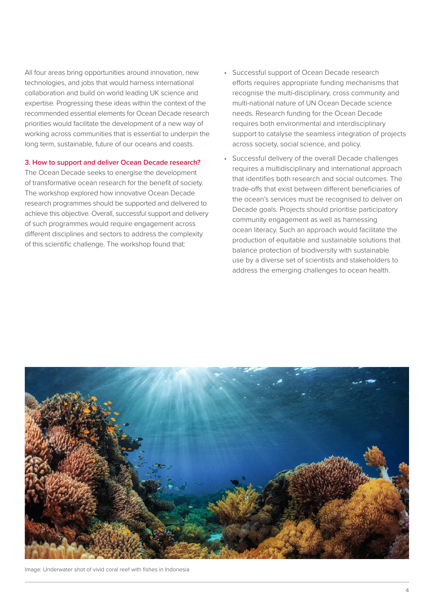All four areas bring opportunities around innovation, new technologies, and jobs that would harness international collaboration and build on world leading UK science and expertise. Progressing these ideas within the context of the recommended essential elements for Ocean Decade research priorities would facilitate the development of a new way of working across communities that is essential to underpin the long term, sustainable, future of our oceans and coasts.

#### **3. How to support and deliver Ocean Decade research?**

The Ocean Decade seeks to energise the development of transformative ocean research for the benefit of society. The workshop explored how innovative Ocean Decade research programmes should be supported and delivered to achieve this objective. Overall, successful support and delivery of such programmes would require engagement across different disciplines and sectors to address the complexity of this scientific challenge. The workshop found that:

- Successful support of Ocean Decade research efforts requires appropriate funding mechanisms that recognise the multi-disciplinary, cross community and multi-national nature of UN Ocean Decade science needs. Research funding for the Ocean Decade requires both environmental and interdisciplinary support to catalyse the seamless integration of projects across society, social science, and policy.
- Successful delivery of the overall Decade challenges requires a multidisciplinary and international approach that identifies both research and social outcomes. The trade-offs that exist between different beneficiaries of the ocean's services must be recognised to deliver on Decade goals. Projects should prioritise participatory community engagement as well as harnessing ocean literacy. Such an approach would facilitate the production of equitable and sustainable solutions that balance protection of biodiversity with sustainable use by a diverse set of scientists and stakeholders to address the emerging challenges to ocean health.



Image: Underwater shot of vivid coral reef with fishes in Indonesia